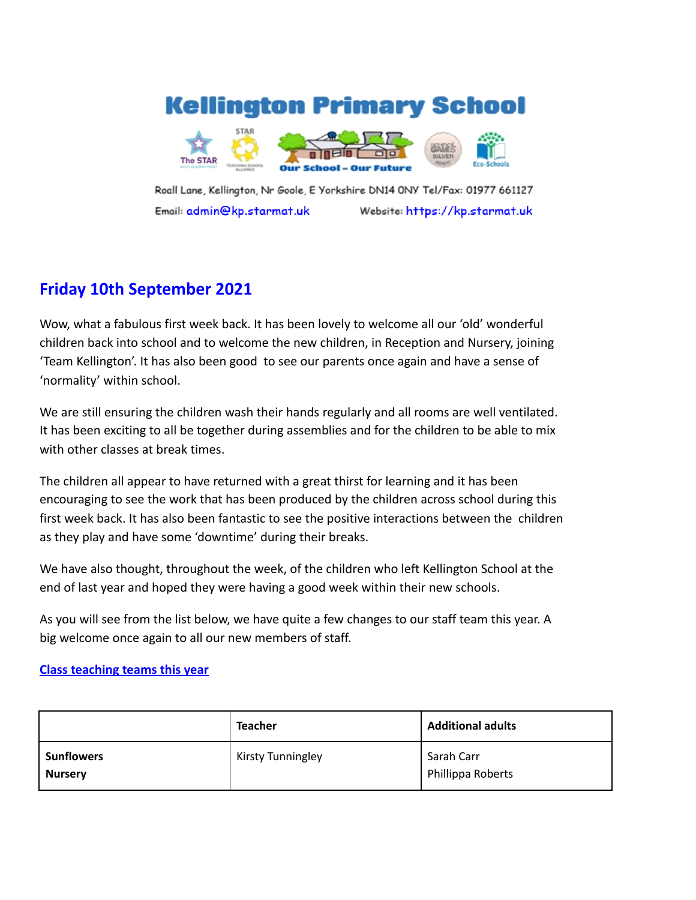# **Kellington Primary School**



Roall Lane, Kellington, Nr Goole, E Yorkshire DN14 0NY Tel/Fax: 01977 661127 Email: admin@kp.starmat.uk Website: https://kp.starmat.uk

# **Friday 10th September 2021**

Wow, what a fabulous first week back. It has been lovely to welcome all our 'old' wonderful children back into school and to welcome the new children, in Reception and Nursery, joining 'Team Kellington'. It has also been good to see our parents once again and have a sense of 'normality' within school.

We are still ensuring the children wash their hands regularly and all rooms are well ventilated. It has been exciting to all be together during assemblies and for the children to be able to mix with other classes at break times.

The children all appear to have returned with a great thirst for learning and it has been encouraging to see the work that has been produced by the children across school during this first week back. It has also been fantastic to see the positive interactions between the children as they play and have some 'downtime' during their breaks.

We have also thought, throughout the week, of the children who left Kellington School at the end of last year and hoped they were having a good week within their new schools.

As you will see from the list below, we have quite a few changes to our staff team this year. A big welcome once again to all our new members of staff.

# **Class teaching teams this year**

|                                     | <b>Teacher</b>           | <b>Additional adults</b>        |
|-------------------------------------|--------------------------|---------------------------------|
| <b>Sunflowers</b><br><b>Nursery</b> | <b>Kirsty Tunningley</b> | Sarah Carr<br>Phillippa Roberts |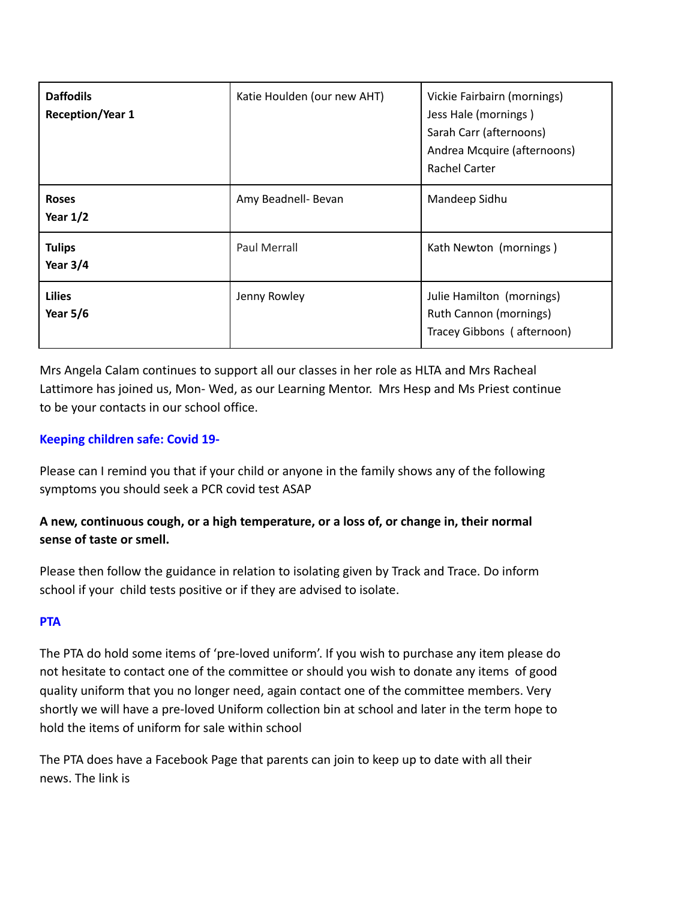| <b>Daffodils</b><br><b>Reception/Year 1</b> | Katie Houlden (our new AHT) | Vickie Fairbairn (mornings)<br>Jess Hale (mornings)<br>Sarah Carr (afternoons)<br>Andrea Mcquire (afternoons)<br><b>Rachel Carter</b> |
|---------------------------------------------|-----------------------------|---------------------------------------------------------------------------------------------------------------------------------------|
| <b>Roses</b><br>Year $1/2$                  | Amy Beadnell- Bevan         | Mandeep Sidhu                                                                                                                         |
| <b>Tulips</b><br>Year $3/4$                 | <b>Paul Merrall</b>         | Kath Newton (mornings)                                                                                                                |
| <b>Lilies</b><br><b>Year 5/6</b>            | Jenny Rowley                | Julie Hamilton (mornings)<br>Ruth Cannon (mornings)<br>Tracey Gibbons (afternoon)                                                     |

Mrs Angela Calam continues to support all our classes in her role as HLTA and Mrs Racheal Lattimore has joined us, Mon- Wed, as our Learning Mentor. Mrs Hesp and Ms Priest continue to be your contacts in our school office.

# **Keeping children safe: Covid 19-**

Please can I remind you that if your child or anyone in the family shows any of the following symptoms you should seek a PCR covid test ASAP

# **A new, continuous cough, or a high temperature, or a loss of, or change in, their normal sense of taste or smell.**

Please then follow the guidance in relation to isolating given by Track and Trace. Do inform school if your child tests positive or if they are advised to isolate.

# **PTA**

The PTA do hold some items of 'pre-loved uniform'. If you wish to purchase any item please do not hesitate to contact one of the committee or should you wish to donate any items of good quality uniform that you no longer need, again contact one of the committee members. Very shortly we will have a pre-loved Uniform collection bin at school and later in the term hope to hold the items of uniform for sale within school

The PTA does have a Facebook Page that parents can join to keep up to date with all their news. The link is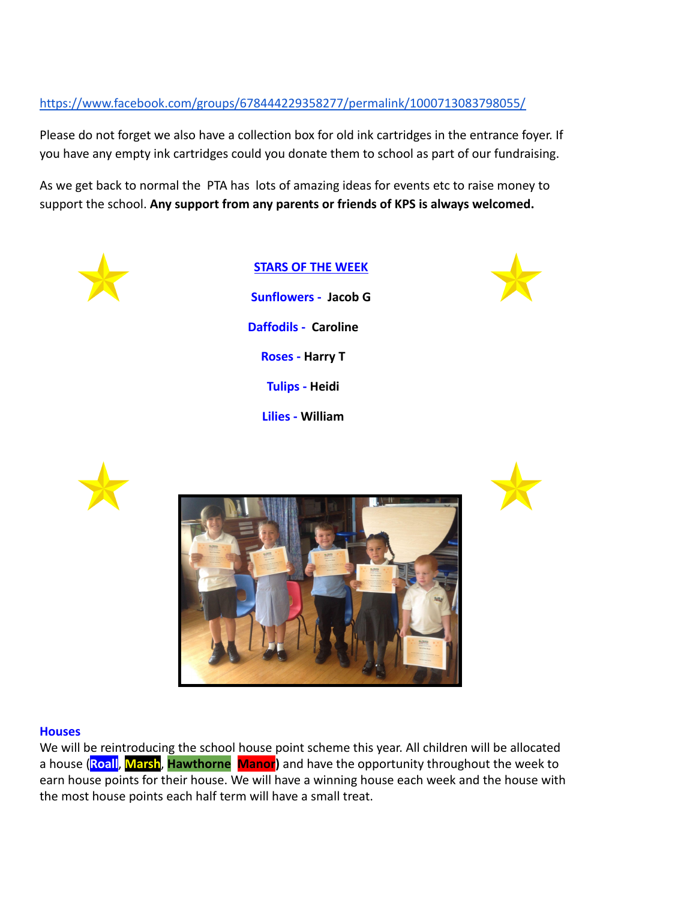# <https://www.facebook.com/groups/678444229358277/permalink/1000713083798055/>

Please do not forget we also have a collection box for old ink cartridges in the entrance foyer. If you have any empty ink cartridges could you donate them to school as part of our fundraising.

As we get back to normal the PTA has lots of amazing ideas for events etc to raise money to support the school. **Any support from any parents or friends of KPS is always welcomed.**



**STARS OF THE WEEK Sunflowers - Jacob G Daffodils - Caroline Roses - Harry T Tulips - Heidi Lilies - William**









#### **Houses**

We will be reintroducing the school house point scheme this year. All children will be allocated a house (**Roall**, **Marsh**, **Hawthorne Manor)** and have the opportunity throughout the week to earn house points for their house. We will have a winning house each week and the house with the most house points each half term will have a small treat.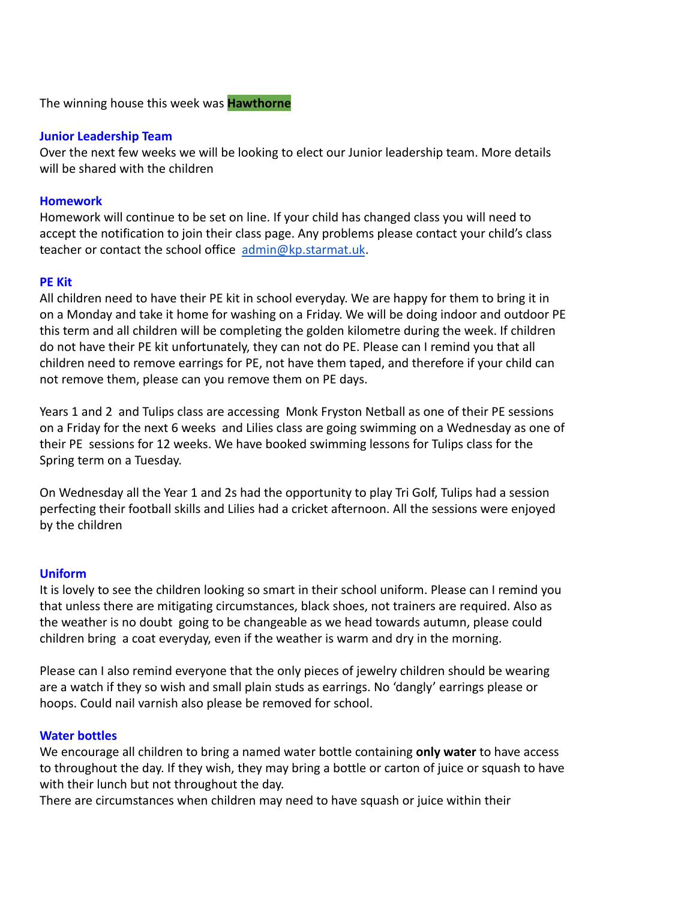The winning house this week was **Hawthorne**

#### **Junior Leadership Team**

Over the next few weeks we will be looking to elect our Junior leadership team. More details will be shared with the children

#### **Homework**

Homework will continue to be set on line. If your child has changed class you will need to accept the notification to join their class page. Any problems please contact your child's class teacher or contact the school office [admin@kp.starmat.uk](mailto:admin@kp.starmat.uk).

#### **PE Kit**

All children need to have their PE kit in school everyday. We are happy for them to bring it in on a Monday and take it home for washing on a Friday. We will be doing indoor and outdoor PE this term and all children will be completing the golden kilometre during the week. If children do not have their PE kit unfortunately, they can not do PE. Please can I remind you that all children need to remove earrings for PE, not have them taped, and therefore if your child can not remove them, please can you remove them on PE days.

Years 1 and 2 and Tulips class are accessing Monk Fryston Netball as one of their PE sessions on a Friday for the next 6 weeks and Lilies class are going swimming on a Wednesday as one of their PE sessions for 12 weeks. We have booked swimming lessons for Tulips class for the Spring term on a Tuesday.

On Wednesday all the Year 1 and 2s had the opportunity to play Tri Golf, Tulips had a session perfecting their football skills and Lilies had a cricket afternoon. All the sessions were enjoyed by the children

#### **Uniform**

It is lovely to see the children looking so smart in their school uniform. Please can I remind you that unless there are mitigating circumstances, black shoes, not trainers are required. Also as the weather is no doubt going to be changeable as we head towards autumn, please could children bring a coat everyday, even if the weather is warm and dry in the morning.

Please can I also remind everyone that the only pieces of jewelry children should be wearing are a watch if they so wish and small plain studs as earrings. No 'dangly' earrings please or hoops. Could nail varnish also please be removed for school.

#### **Water bottles**

We encourage all children to bring a named water bottle containing **only water** to have access to throughout the day. If they wish, they may bring a bottle or carton of juice or squash to have with their lunch but not throughout the day.

There are circumstances when children may need to have squash or juice within their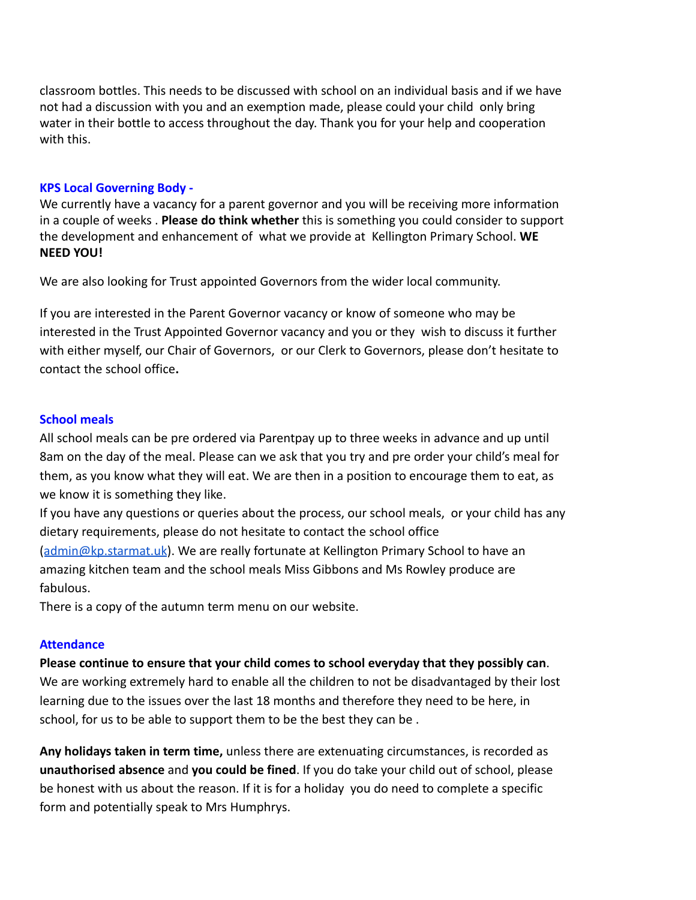classroom bottles. This needs to be discussed with school on an individual basis and if we have not had a discussion with you and an exemption made, please could your child only bring water in their bottle to access throughout the day. Thank you for your help and cooperation with this.

# **KPS Local Governing Body -**

We currently have a vacancy for a parent governor and you will be receiving more information in a couple of weeks . **Please do think whether** this is something you could consider to support the development and enhancement of what we provide at Kellington Primary School. **WE NEED YOU!**

We are also looking for Trust appointed Governors from the wider local community.

If you are interested in the Parent Governor vacancy or know of someone who may be interested in the Trust Appointed Governor vacancy and you or they wish to discuss it further with either myself, our Chair of Governors, or our Clerk to Governors, please don't hesitate to contact the school office**.**

# **School meals**

All school meals can be pre ordered via Parentpay up to three weeks in advance and up until 8am on the day of the meal. Please can we ask that you try and pre order your child's meal for them, as you know what they will eat. We are then in a position to encourage them to eat, as we know it is something they like.

If you have any questions or queries about the process, our school meals, or your child has any dietary requirements, please do not hesitate to contact the school office ([admin@kp.starmat.uk](mailto:admin@kp.starmat.uk)). We are really fortunate at Kellington Primary School to have an amazing kitchen team and the school meals Miss Gibbons and Ms Rowley produce are fabulous.

There is a copy of the autumn term menu on our website.

# **Attendance**

**Please continue to ensure that your child comes to school everyday that they possibly can**. We are working extremely hard to enable all the children to not be disadvantaged by their lost learning due to the issues over the last 18 months and therefore they need to be here, in school, for us to be able to support them to be the best they can be .

**Any holidays taken in term time,** unless there are extenuating circumstances, is recorded as **unauthorised absence** and **you could be fined**. If you do take your child out of school, please be honest with us about the reason. If it is for a holiday you do need to complete a specific form and potentially speak to Mrs Humphrys.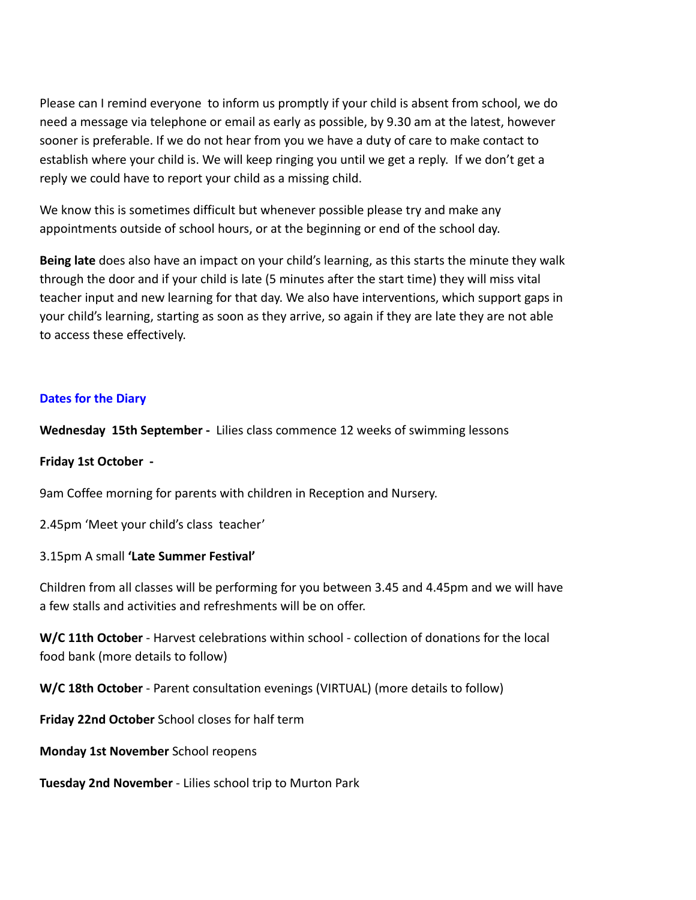Please can I remind everyone to inform us promptly if your child is absent from school, we do need a message via telephone or email as early as possible, by 9.30 am at the latest, however sooner is preferable. If we do not hear from you we have a duty of care to make contact to establish where your child is. We will keep ringing you until we get a reply. If we don't get a reply we could have to report your child as a missing child.

We know this is sometimes difficult but whenever possible please try and make any appointments outside of school hours, or at the beginning or end of the school day.

**Being late** does also have an impact on your child's learning, as this starts the minute they walk through the door and if your child is late (5 minutes after the start time) they will miss vital teacher input and new learning for that day. We also have interventions, which support gaps in your child's learning, starting as soon as they arrive, so again if they are late they are not able to access these effectively.

# **Dates for the Diary**

**Wednesday 15th September -** Lilies class commence 12 weeks of swimming lessons

### **Friday 1st October -**

9am Coffee morning for parents with children in Reception and Nursery.

2.45pm 'Meet your child's class teacher'

### 3.15pm A small **'Late Summer Festival'**

Children from all classes will be performing for you between 3.45 and 4.45pm and we will have a few stalls and activities and refreshments will be on offer.

**W/C 11th October** - Harvest celebrations within school - collection of donations for the local food bank (more details to follow)

**W/C 18th October** - Parent consultation evenings (VIRTUAL) (more details to follow)

**Friday 22nd October** School closes for half term

**Monday 1st November** School reopens

**Tuesday 2nd November** - Lilies school trip to Murton Park